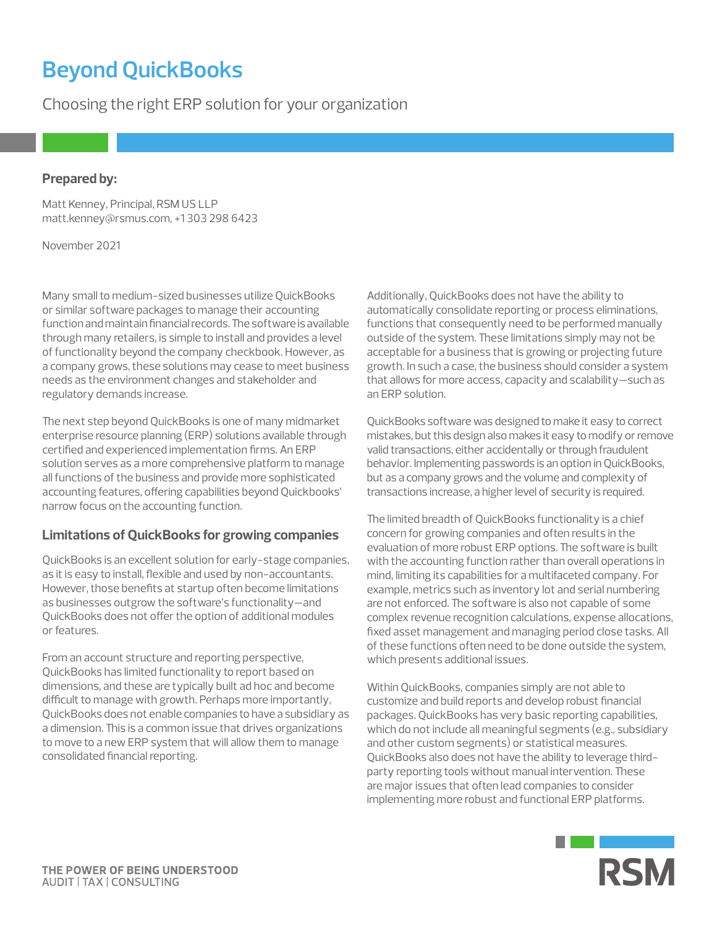# **Beyond QuickBooks**

Choosing the right ERP solution for your organization

### **Prepared by:**

Matt Kenney, Principal, RSM US LLP [matt.kenney@rsmus.com](mailto:matt.kenney%40rsmus.com?subject=), +1 303 298 6423

November 2021

Many small to medium-sized businesses utilize QuickBooks or similar software packages to manage their accounting function and maintain financial records. The software is available through many retailers, is simple to install and provides a level of functionality beyond the company checkbook. However, as a company grows, these solutions may cease to meet business needs as the environment changes and stakeholder and regulatory demands increase.

The next step beyond QuickBooks is one of many midmarket enterprise resource planning (ERP) solutions available through certified and experienced implementation firms. An ERP solution serves as a more comprehensive platform to manage all functions of the business and provide more sophisticated accounting features, offering capabilities beyond Quickbooks' narrow focus on the accounting function.

## **Limitations of QuickBooks for growing companies**

QuickBooks is an excellent solution for early-stage companies, as it is easy to install, flexible and used by non-accountants. However, those benefits at startup often become limitations as businesses outgrow the software's functionality—and QuickBooks does not offer the option of additional modules or features.

From an account structure and reporting perspective, QuickBooks has limited functionality to report based on dimensions, and these are typically built ad hoc and become difficult to manage with growth. Perhaps more importantly, QuickBooks does not enable companies to have a subsidiary as a dimension. This is a common issue that drives organizations to move to a new ERP system that will allow them to manage consolidated financial reporting.

Additionally, QuickBooks does not have the ability to automatically consolidate reporting or process eliminations, functions that consequently need to be performed manually outside of the system. These limitations simply may not be acceptable for a business that is growing or projecting future growth. In such a case, the business should consider a system that allows for more access, capacity and scalability—such as an ERP solution.

QuickBooks software was designed to make it easy to correct mistakes, but this design also makes it easy to modify or remove valid transactions, either accidentally or through fraudulent behavior. Implementing passwords is an option in QuickBooks, but as a company grows and the volume and complexity of transactions increase, a higher level of security is required.

The limited breadth of QuickBooks functionality is a chief concern for growing companies and often results in the evaluation of more robust ERP options. The software is built with the accounting function rather than overall operations in mind, limiting its capabilities for a multifaceted company. For example, metrics such as inventory lot and serial numbering are not enforced. The software is also not capable of some complex revenue recognition calculations, expense allocations, fixed asset management and managing period close tasks. All of these functions often need to be done outside the system, which presents additional issues.

Within QuickBooks, companies simply are not able to customize and build reports and develop robust financial packages. QuickBooks has very basic reporting capabilities, which do not include all meaningful segments (e.g., subsidiary and other custom segments) or statistical measures. QuickBooks also does not have the ability to leverage thirdparty reporting tools without manual intervention. These are major issues that often lead companies to consider implementing more robust and functional ERP platforms.

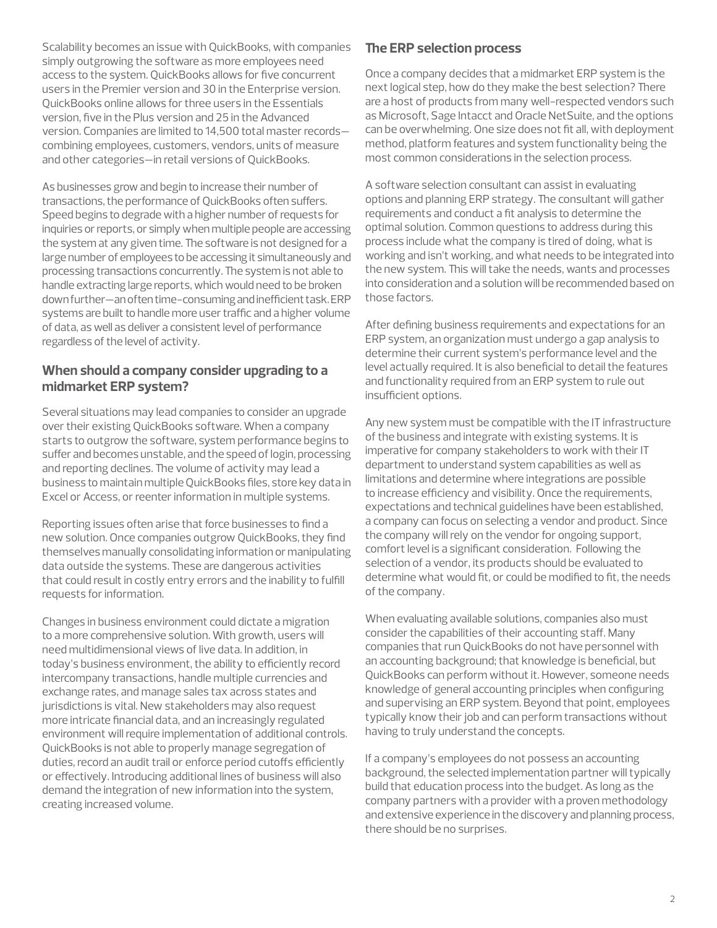Scalability becomes an issue with QuickBooks, with companies simply outgrowing the software as more employees need access to the system. QuickBooks allows for five concurrent users in the Premier version and 30 in the Enterprise version. QuickBooks online allows for three users in the Essentials version, five in the Plus version and 25 in the Advanced version. Companies are limited to 14,500 total master records combining employees, customers, vendors, units of measure and other categories—in retail versions of QuickBooks.

As businesses grow and begin to increase their number of transactions, the performance of QuickBooks often suffers. Speed begins to degrade with a higher number of requests for inquiries or reports, or simply when multiple people are accessing the system at any given time. The software is not designed for a large number of employees to be accessing it simultaneously and processing transactions concurrently. The system is not able to handle extracting large reports, which would need to be broken down further—an often time-consuming and inefficient task. ERP systems are built to handle more user traffic and a higher volume of data, as well as deliver a consistent level of performance regardless of the level of activity.

# **When should a company consider upgrading to a midmarket ERP system?**

Several situations may lead companies to consider an upgrade over their existing QuickBooks software. When a company starts to outgrow the software, system performance begins to suffer and becomes unstable, and the speed of login, processing and reporting declines. The volume of activity may lead a business to maintain multiple QuickBooks files, store key data in Excel or Access, or reenter information in multiple systems.

Reporting issues often arise that force businesses to find a new solution. Once companies outgrow QuickBooks, they find themselves manually consolidating information or manipulating data outside the systems. These are dangerous activities that could result in costly entry errors and the inability to fulfill requests for information.

Changes in business environment could dictate a migration to a more comprehensive solution. With growth, users will need multidimensional views of live data. In addition, in today's business environment, the ability to efficiently record intercompany transactions, handle multiple currencies and exchange rates, and manage sales tax across states and jurisdictions is vital. New stakeholders may also request more intricate financial data, and an increasingly regulated environment will require implementation of additional controls. QuickBooks is not able to properly manage segregation of duties, record an audit trail or enforce period cutoffs efficiently or effectively. Introducing additional lines of business will also demand the integration of new information into the system, creating increased volume.

## **The ERP selection process**

Once a company decides that a midmarket ERP system is the next logical step, how do they make the best selection? There are a host of products from many well-respected vendors such as Microsoft, Sage Intacct and Oracle NetSuite, and the options can be overwhelming. One size does not fit all, with deployment method, platform features and system functionality being the most common considerations in the selection process.

A software selection consultant can assist in evaluating options and planning ERP strategy. The consultant will gather requirements and conduct a fit analysis to determine the optimal solution. Common questions to address during this process include what the company is tired of doing, what is working and isn't working, and what needs to be integrated into the new system. This will take the needs, wants and processes into consideration and a solution will be recommended based on those factors.

After defining business requirements and expectations for an ERP system, an organization must undergo a gap analysis to determine their current system's performance level and the level actually required. It is also beneficial to detail the features and functionality required from an ERP system to rule out insufficient options.

Any new system must be compatible with the IT infrastructure of the business and integrate with existing systems. It is imperative for company stakeholders to work with their IT department to understand system capabilities as well as limitations and determine where integrations are possible to increase efficiency and visibility. Once the requirements, expectations and technical guidelines have been established, a company can focus on selecting a vendor and product. Since the company will rely on the vendor for ongoing support, comfort level is a significant consideration. Following the selection of a vendor, its products should be evaluated to determine what would fit, or could be modified to fit, the needs of the company.

When evaluating available solutions, companies also must consider the capabilities of their accounting staff. Many companies that run QuickBooks do not have personnel with an accounting background; that knowledge is beneficial, but QuickBooks can perform without it. However, someone needs knowledge of general accounting principles when configuring and supervising an ERP system. Beyond that point, employees typically know their job and can perform transactions without having to truly understand the concepts.

If a company's employees do not possess an accounting background, the selected implementation partner will typically build that education process into the budget. As long as the company partners with a provider with a proven methodology and extensive experience in the discovery and planning process, there should be no surprises.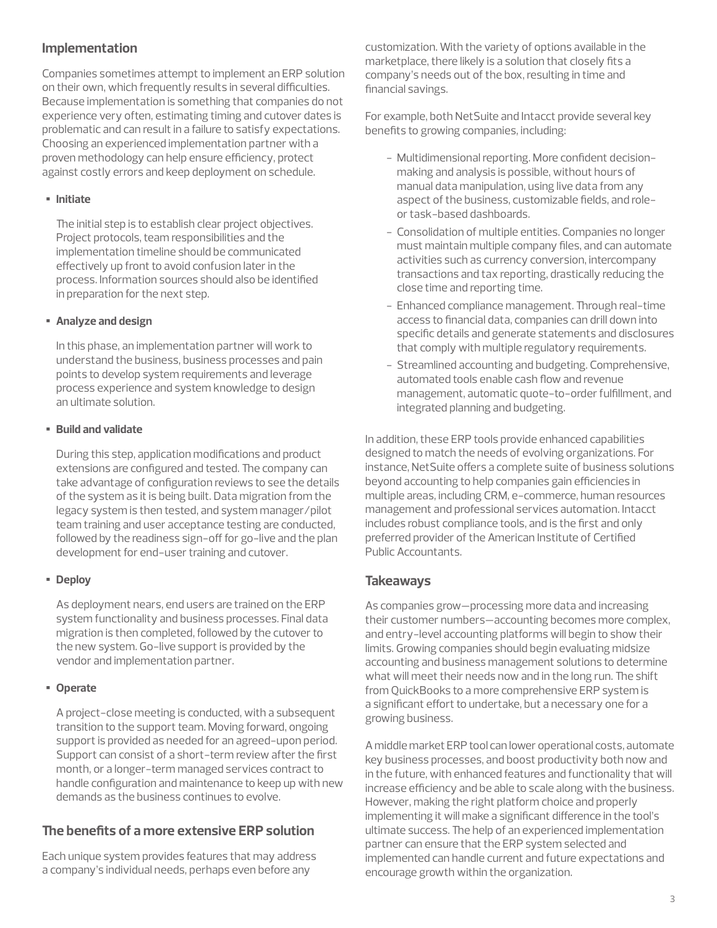## **Implementation**

Companies sometimes attempt to implement an ERP solution on their own, which frequently results in several difficulties. Because implementation is something that companies do not experience very often, estimating timing and cutover dates is problematic and can result in a failure to satisfy expectations. Choosing an experienced implementation partner with a proven methodology can help ensure efficiency, protect against costly errors and keep deployment on schedule.

#### • **Initiate**

The initial step is to establish clear project objectives. Project protocols, team responsibilities and the implementation timeline should be communicated effectively up front to avoid confusion later in the process. Information sources should also be identified in preparation for the next step.

#### • **Analyze and design**

In this phase, an implementation partner will work to understand the business, business processes and pain points to develop system requirements and leverage process experience and system knowledge to design an ultimate solution.

#### • **Build and validate**

During this step, application modifications and product extensions are configured and tested. The company can take advantage of configuration reviews to see the details of the system as it is being built. Data migration from the legacy system is then tested, and system manager/pilot team training and user acceptance testing are conducted, followed by the readiness sign-off for go-live and the plan development for end-user training and cutover.

#### • **Deploy**

As deployment nears, end users are trained on the ERP system functionality and business processes. Final data migration is then completed, followed by the cutover to the new system. Go-live support is provided by the vendor and implementation partner.

#### • **Operate**

A project-close meeting is conducted, with a subsequent transition to the support team. Moving forward, ongoing support is provided as needed for an agreed-upon period. Support can consist of a short-term review after the first month, or a longer-term managed services contract to handle configuration and maintenance to keep up with new demands as the business continues to evolve.

## **The benefits of a more extensive ERP solution**

Each unique system provides features that may address a company's individual needs, perhaps even before any

customization. With the variety of options available in the marketplace, there likely is a solution that closely fits a company's needs out of the box, resulting in time and financial savings.

For example, both NetSuite and Intacct provide several key benefits to growing companies, including:

- Multidimensional reporting. More confident decisionmaking and analysis is possible, without hours of manual data manipulation, using live data from any aspect of the business, customizable fields, and roleor task-based dashboards.
- Consolidation of multiple entities. Companies no longer must maintain multiple company files, and can automate activities such as currency conversion, intercompany transactions and tax reporting, drastically reducing the close time and reporting time.
- Enhanced compliance management. Through real-time access to financial data, companies can drill down into specific details and generate statements and disclosures that comply with multiple regulatory requirements.
- Streamlined accounting and budgeting. Comprehensive, automated tools enable cash flow and revenue management, automatic quote-to-order fulfillment, and integrated planning and budgeting.

In addition, these ERP tools provide enhanced capabilities designed to match the needs of evolving organizations. For instance, NetSuite offers a complete suite of business solutions beyond accounting to help companies gain efficiencies in multiple areas, including CRM, e-commerce, human resources management and professional services automation. Intacct includes robust compliance tools, and is the first and only preferred provider of the American Institute of Certified Public Accountants.

#### **Takeaways**

As companies grow—processing more data and increasing their customer numbers—accounting becomes more complex, and entry-level accounting platforms will begin to show their limits. Growing companies should begin evaluating midsize accounting and business management solutions to determine what will meet their needs now and in the long run. The shift from QuickBooks to a more comprehensive ERP system is a significant effort to undertake, but a necessary one for a growing business.

A middle market ERP tool can lower operational costs, automate key business processes, and boost productivity both now and in the future, with enhanced features and functionality that will increase efficiency and be able to scale along with the business. However, making the right platform choice and properly implementing it will make a significant difference in the tool's ultimate success. The help of an experienced implementation partner can ensure that the ERP system selected and implemented can handle current and future expectations and encourage growth within the organization.